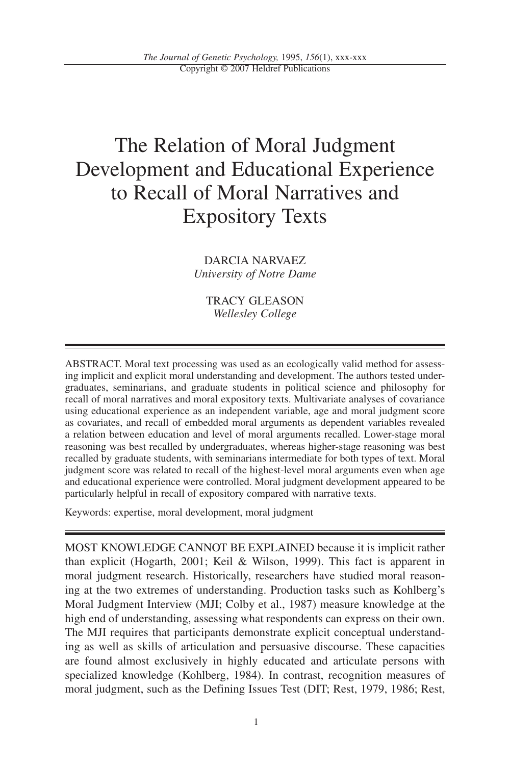# The Relation of Moral Judgment Development and Educational Experience to Recall of Moral Narratives and Expository Texts

DARCIA NARVAEZ *University of Notre Dame*

TRACY GLEASON *Wellesley College* 

ABSTRACT. Moral text processing was used as an ecologically valid method for assessing implicit and explicit moral understanding and development. The authors tested undergraduates, seminarians, and graduate students in political science and philosophy for recall of moral narratives and moral expository texts. Multivariate analyses of covariance using educational experience as an independent variable, age and moral judgment score as covariates, and recall of embedded moral arguments as dependent variables revealed a relation between education and level of moral arguments recalled. Lower-stage moral reasoning was best recalled by undergraduates, whereas higher-stage reasoning was best recalled by graduate students, with seminarians intermediate for both types of text. Moral judgment score was related to recall of the highest-level moral arguments even when age and educational experience were controlled. Moral judgment development appeared to be particularly helpful in recall of expository compared with narrative texts.

Keywords: expertise, moral development, moral judgment

MOST KNOWLEDGE CANNOT BE EXPLAINED because it is implicit rather than explicit (Hogarth, 2001; Keil & Wilson, 1999). This fact is apparent in moral judgment research. Historically, researchers have studied moral reasoning at the two extremes of understanding. Production tasks such as Kohlberg's Moral Judgment Interview (MJI; Colby et al., 1987) measure knowledge at the high end of understanding, assessing what respondents can express on their own. The MJI requires that participants demonstrate explicit conceptual understanding as well as skills of articulation and persuasive discourse. These capacities are found almost exclusively in highly educated and articulate persons with specialized knowledge (Kohlberg, 1984). In contrast, recognition measures of moral judgment, such as the Defining Issues Test (DIT; Rest, 1979, 1986; Rest,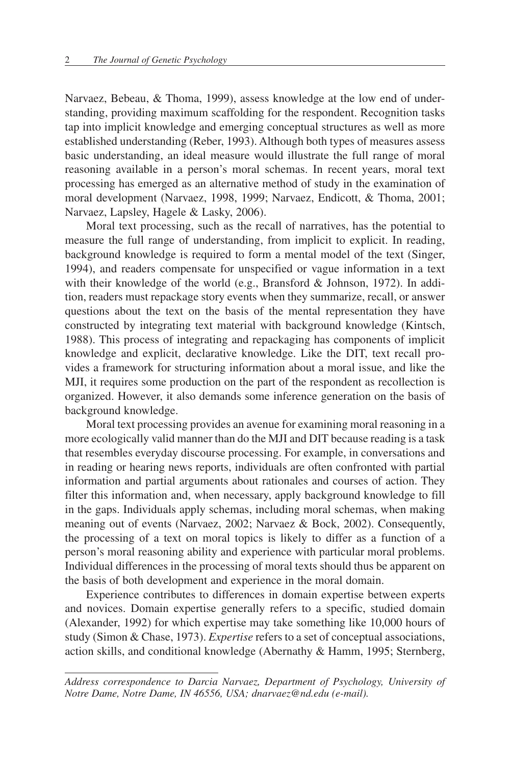Narvaez, Bebeau, & Thoma, 1999), assess knowledge at the low end of understanding, providing maximum scaffolding for the respondent. Recognition tasks tap into implicit knowledge and emerging conceptual structures as well as more established understanding (Reber, 1993). Although both types of measures assess basic understanding, an ideal measure would illustrate the full range of moral reasoning available in a person's moral schemas. In recent years, moral text processing has emerged as an alternative method of study in the examination of moral development (Narvaez, 1998, 1999; Narvaez, Endicott, & Thoma, 2001; Narvaez, Lapsley, Hagele & Lasky, 2006).

Moral text processing, such as the recall of narratives, has the potential to measure the full range of understanding, from implicit to explicit. In reading, background knowledge is required to form a mental model of the text (Singer, 1994), and readers compensate for unspecified or vague information in a text with their knowledge of the world (e.g., Bransford & Johnson, 1972). In addition, readers must repackage story events when they summarize, recall, or answer questions about the text on the basis of the mental representation they have constructed by integrating text material with background knowledge (Kintsch, 1988). This process of integrating and repackaging has components of implicit knowledge and explicit, declarative knowledge. Like the DIT, text recall provides a framework for structuring information about a moral issue, and like the MJI, it requires some production on the part of the respondent as recollection is organized. However, it also demands some inference generation on the basis of background knowledge.

Moral text processing provides an avenue for examining moral reasoning in a more ecologically valid manner than do the MJI and DIT because reading is a task that resembles everyday discourse processing. For example, in conversations and in reading or hearing news reports, individuals are often confronted with partial information and partial arguments about rationales and courses of action. They filter this information and, when necessary, apply background knowledge to fill in the gaps. Individuals apply schemas, including moral schemas, when making meaning out of events (Narvaez, 2002; Narvaez & Bock, 2002). Consequently, the processing of a text on moral topics is likely to differ as a function of a person's moral reasoning ability and experience with particular moral problems. Individual differences in the processing of moral texts should thus be apparent on the basis of both development and experience in the moral domain.

Experience contributes to differences in domain expertise between experts and novices. Domain expertise generally refers to a specific, studied domain (Alexander, 1992) for which expertise may take something like 10,000 hours of study (Simon & Chase, 1973). *Expertise* refers to a set of conceptual associations, action skills, and conditional knowledge (Abernathy & Hamm, 1995; Sternberg,

*Address correspondence to Darcia Narvaez, Department of Psychology, University of Notre Dame, Notre Dame, IN 46556, USA; dnarvaez@nd.edu (e-mail).*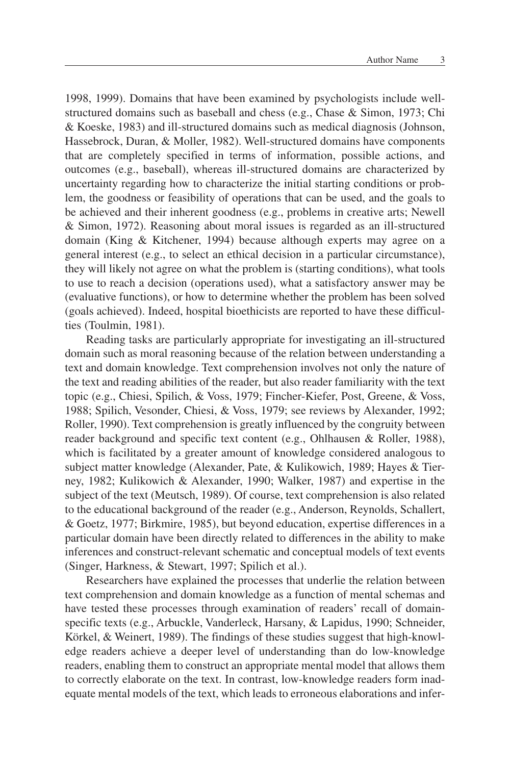1998, 1999). Domains that have been examined by psychologists include wellstructured domains such as baseball and chess (e.g., Chase & Simon, 1973; Chi & Koeske, 1983) and ill-structured domains such as medical diagnosis (Johnson, Hassebrock, Duran, & Moller, 1982). Well-structured domains have components that are completely specified in terms of information, possible actions, and outcomes (e.g., baseball), whereas ill-structured domains are characterized by uncertainty regarding how to characterize the initial starting conditions or problem, the goodness or feasibility of operations that can be used, and the goals to be achieved and their inherent goodness (e.g., problems in creative arts; Newell & Simon, 1972). Reasoning about moral issues is regarded as an ill-structured domain (King & Kitchener, 1994) because although experts may agree on a general interest (e.g., to select an ethical decision in a particular circumstance), they will likely not agree on what the problem is (starting conditions), what tools to use to reach a decision (operations used), what a satisfactory answer may be (evaluative functions), or how to determine whether the problem has been solved (goals achieved). Indeed, hospital bioethicists are reported to have these difficulties (Toulmin, 1981).

Reading tasks are particularly appropriate for investigating an ill-structured domain such as moral reasoning because of the relation between understanding a text and domain knowledge. Text comprehension involves not only the nature of the text and reading abilities of the reader, but also reader familiarity with the text topic (e.g., Chiesi, Spilich, & Voss, 1979; Fincher-Kiefer, Post, Greene, & Voss, 1988; Spilich, Vesonder, Chiesi, & Voss, 1979; see reviews by Alexander, 1992; Roller, 1990). Text comprehension is greatly influenced by the congruity between reader background and specific text content (e.g., Ohlhausen & Roller, 1988), which is facilitated by a greater amount of knowledge considered analogous to subject matter knowledge (Alexander, Pate, & Kulikowich, 1989; Hayes & Tierney, 1982; Kulikowich & Alexander, 1990; Walker, 1987) and expertise in the subject of the text (Meutsch, 1989). Of course, text comprehension is also related to the educational background of the reader (e.g., Anderson, Reynolds, Schallert, & Goetz, 1977; Birkmire, 1985), but beyond education, expertise differences in a particular domain have been directly related to differences in the ability to make inferences and construct-relevant schematic and conceptual models of text events (Singer, Harkness, & Stewart, 1997; Spilich et al.).

Researchers have explained the processes that underlie the relation between text comprehension and domain knowledge as a function of mental schemas and have tested these processes through examination of readers' recall of domainspecific texts (e.g., Arbuckle, Vanderleck, Harsany, & Lapidus, 1990; Schneider, Körkel, & Weinert, 1989). The findings of these studies suggest that high-knowledge readers achieve a deeper level of understanding than do low-knowledge readers, enabling them to construct an appropriate mental model that allows them to correctly elaborate on the text. In contrast, low-knowledge readers form inadequate mental models of the text, which leads to erroneous elaborations and infer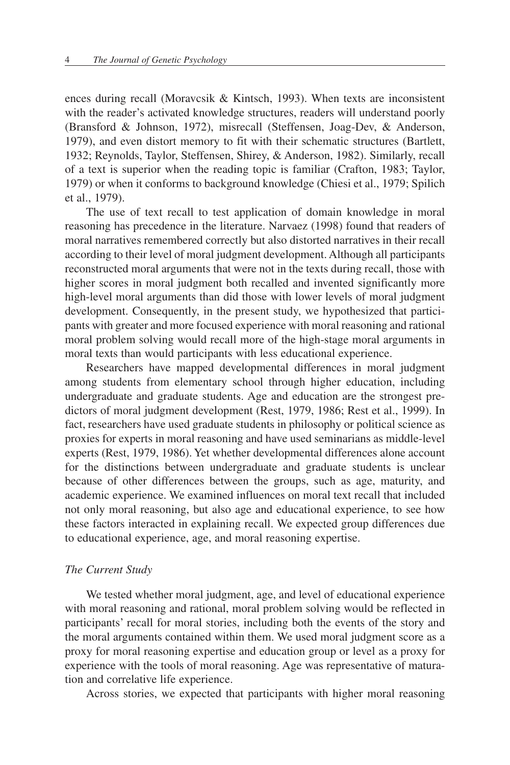ences during recall (Moravcsik & Kintsch, 1993). When texts are inconsistent with the reader's activated knowledge structures, readers will understand poorly (Bransford & Johnson, 1972), misrecall (Steffensen, Joag-Dev, & Anderson, 1979), and even distort memory to fit with their schematic structures (Bartlett, 1932; Reynolds, Taylor, Steffensen, Shirey, & Anderson, 1982). Similarly, recall of a text is superior when the reading topic is familiar (Crafton, 1983; Taylor, 1979) or when it conforms to background knowledge (Chiesi et al., 1979; Spilich et al., 1979).

The use of text recall to test application of domain knowledge in moral reasoning has precedence in the literature. Narvaez (1998) found that readers of moral narratives remembered correctly but also distorted narratives in their recall according to their level of moral judgment development. Although all participants reconstructed moral arguments that were not in the texts during recall, those with higher scores in moral judgment both recalled and invented significantly more high-level moral arguments than did those with lower levels of moral judgment development. Consequently, in the present study, we hypothesized that participants with greater and more focused experience with moral reasoning and rational moral problem solving would recall more of the high-stage moral arguments in moral texts than would participants with less educational experience.

Researchers have mapped developmental differences in moral judgment among students from elementary school through higher education, including undergraduate and graduate students. Age and education are the strongest predictors of moral judgment development (Rest, 1979, 1986; Rest et al., 1999). In fact, researchers have used graduate students in philosophy or political science as proxies for experts in moral reasoning and have used seminarians as middle-level experts (Rest, 1979, 1986). Yet whether developmental differences alone account for the distinctions between undergraduate and graduate students is unclear because of other differences between the groups, such as age, maturity, and academic experience. We examined influences on moral text recall that included not only moral reasoning, but also age and educational experience, to see how these factors interacted in explaining recall. We expected group differences due to educational experience, age, and moral reasoning expertise.

#### *The Current Study*

We tested whether moral judgment, age, and level of educational experience with moral reasoning and rational, moral problem solving would be reflected in participants' recall for moral stories, including both the events of the story and the moral arguments contained within them. We used moral judgment score as a proxy for moral reasoning expertise and education group or level as a proxy for experience with the tools of moral reasoning. Age was representative of maturation and correlative life experience.

Across stories, we expected that participants with higher moral reasoning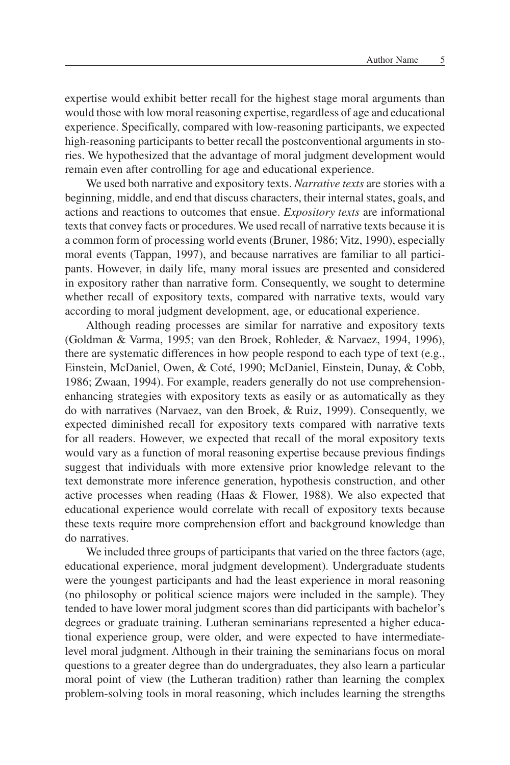expertise would exhibit better recall for the highest stage moral arguments than would those with low moral reasoning expertise, regardless of age and educational experience. Specifically, compared with low-reasoning participants, we expected high-reasoning participants to better recall the postconventional arguments in stories. We hypothesized that the advantage of moral judgment development would remain even after controlling for age and educational experience.

We used both narrative and expository texts. *Narrative texts* are stories with a beginning, middle, and end that discuss characters, their internal states, goals, and actions and reactions to outcomes that ensue. *Expository texts* are informational texts that convey facts or procedures. We used recall of narrative texts because it is a common form of processing world events (Bruner, 1986; Vitz, 1990), especially moral events (Tappan, 1997), and because narratives are familiar to all participants. However, in daily life, many moral issues are presented and considered in expository rather than narrative form. Consequently, we sought to determine whether recall of expository texts, compared with narrative texts, would vary according to moral judgment development, age, or educational experience.

Although reading processes are similar for narrative and expository texts (Goldman & Varma, 1995; van den Broek, Rohleder, & Narvaez, 1994, 1996), there are systematic differences in how people respond to each type of text (e.g., Einstein, McDaniel, Owen, & Coté, 1990; McDaniel, Einstein, Dunay, & Cobb, 1986; Zwaan, 1994). For example, readers generally do not use comprehensionenhancing strategies with expository texts as easily or as automatically as they do with narratives (Narvaez, van den Broek, & Ruiz, 1999). Consequently, we expected diminished recall for expository texts compared with narrative texts for all readers. However, we expected that recall of the moral expository texts would vary as a function of moral reasoning expertise because previous findings suggest that individuals with more extensive prior knowledge relevant to the text demonstrate more inference generation, hypothesis construction, and other active processes when reading (Haas & Flower, 1988). We also expected that educational experience would correlate with recall of expository texts because these texts require more comprehension effort and background knowledge than do narratives.

We included three groups of participants that varied on the three factors (age, educational experience, moral judgment development). Undergraduate students were the youngest participants and had the least experience in moral reasoning (no philosophy or political science majors were included in the sample). They tended to have lower moral judgment scores than did participants with bachelor's degrees or graduate training. Lutheran seminarians represented a higher educational experience group, were older, and were expected to have intermediatelevel moral judgment. Although in their training the seminarians focus on moral questions to a greater degree than do undergraduates, they also learn a particular moral point of view (the Lutheran tradition) rather than learning the complex problem-solving tools in moral reasoning, which includes learning the strengths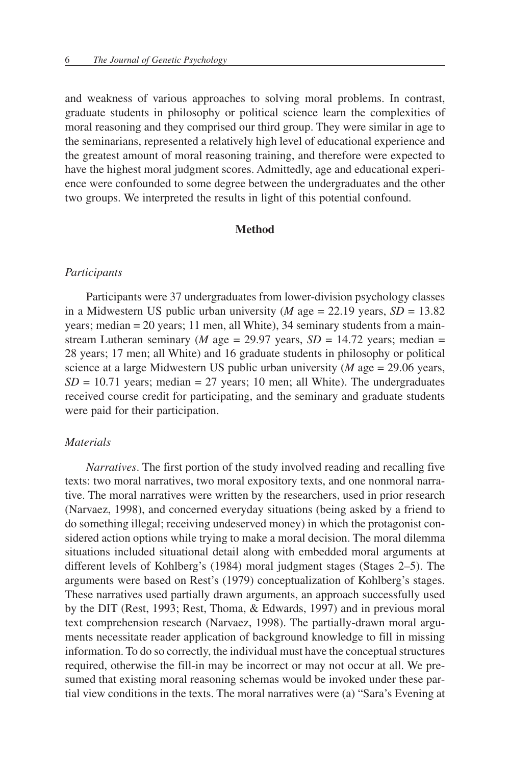and weakness of various approaches to solving moral problems. In contrast, graduate students in philosophy or political science learn the complexities of moral reasoning and they comprised our third group. They were similar in age to the seminarians, represented a relatively high level of educational experience and the greatest amount of moral reasoning training, and therefore were expected to have the highest moral judgment scores. Admittedly, age and educational experience were confounded to some degree between the undergraduates and the other two groups. We interpreted the results in light of this potential confound.

# **Method**

## *Participants*

Participants were 37 undergraduates from lower-division psychology classes in a Midwestern US public urban university (*M* age  $= 22.19$  years, *SD*  $= 13.82$ years; median = 20 years; 11 men, all White), 34 seminary students from a mainstream Lutheran seminary (*M* age = 29.97 years,  $SD = 14.72$  years; median = 28 years; 17 men; all White) and 16 graduate students in philosophy or political science at a large Midwestern US public urban university (*M* age = 29.06 years,  $SD = 10.71$  years; median  $= 27$  years; 10 men; all White). The undergraduates received course credit for participating, and the seminary and graduate students were paid for their participation.

# *Materials*

*Narratives*. The first portion of the study involved reading and recalling five texts: two moral narratives, two moral expository texts, and one nonmoral narrative. The moral narratives were written by the researchers, used in prior research (Narvaez, 1998), and concerned everyday situations (being asked by a friend to do something illegal; receiving undeserved money) in which the protagonist considered action options while trying to make a moral decision. The moral dilemma situations included situational detail along with embedded moral arguments at different levels of Kohlberg's (1984) moral judgment stages (Stages 2–5). The arguments were based on Rest's (1979) conceptualization of Kohlberg's stages. These narratives used partially drawn arguments, an approach successfully used by the DIT (Rest, 1993; Rest, Thoma, & Edwards, 1997) and in previous moral text comprehension research (Narvaez, 1998). The partially-drawn moral arguments necessitate reader application of background knowledge to fill in missing information. To do so correctly, the individual must have the conceptual structures required, otherwise the fill-in may be incorrect or may not occur at all. We presumed that existing moral reasoning schemas would be invoked under these partial view conditions in the texts. The moral narratives were (a) "Sara's Evening at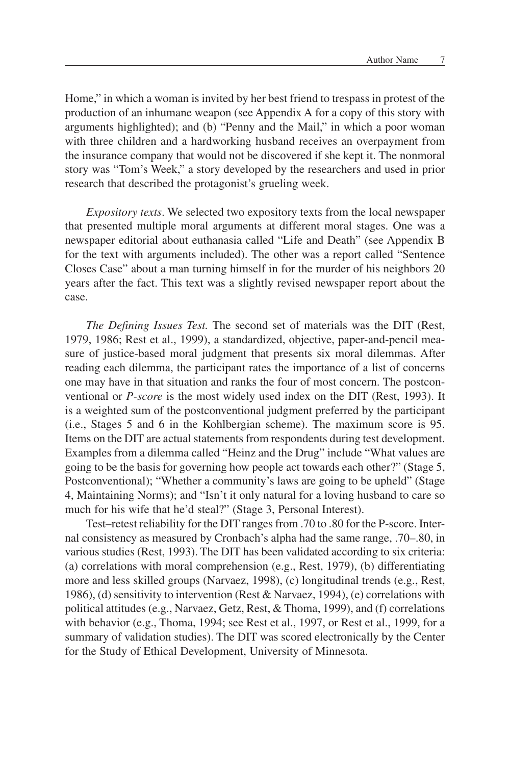Home," in which a woman is invited by her best friend to trespass in protest of the production of an inhumane weapon (see Appendix A for a copy of this story with arguments highlighted); and (b) "Penny and the Mail," in which a poor woman with three children and a hardworking husband receives an overpayment from the insurance company that would not be discovered if she kept it. The nonmoral story was "Tom's Week," a story developed by the researchers and used in prior research that described the protagonist's grueling week.

*Expository texts*. We selected two expository texts from the local newspaper that presented multiple moral arguments at different moral stages. One was a newspaper editorial about euthanasia called "Life and Death" (see Appendix B for the text with arguments included). The other was a report called "Sentence Closes Case" about a man turning himself in for the murder of his neighbors 20 years after the fact. This text was a slightly revised newspaper report about the case.

*The Defining Issues Test.* The second set of materials was the DIT (Rest, 1979, 1986; Rest et al., 1999), a standardized, objective, paper-and-pencil measure of justice-based moral judgment that presents six moral dilemmas. After reading each dilemma, the participant rates the importance of a list of concerns one may have in that situation and ranks the four of most concern. The postconventional or *P-score* is the most widely used index on the DIT (Rest, 1993). It is a weighted sum of the postconventional judgment preferred by the participant (i.e., Stages 5 and 6 in the Kohlbergian scheme). The maximum score is 95. Items on the DIT are actual statements from respondents during test development. Examples from a dilemma called "Heinz and the Drug" include "What values are going to be the basis for governing how people act towards each other?" (Stage 5, Postconventional); "Whether a community's laws are going to be upheld" (Stage 4, Maintaining Norms); and "Isn't it only natural for a loving husband to care so much for his wife that he'd steal?" (Stage 3, Personal Interest).

Test–retest reliability for the DIT ranges from .70 to .80 for the P-score. Internal consistency as measured by Cronbach's alpha had the same range, .70–.80, in various studies (Rest, 1993). The DIT has been validated according to six criteria: (a) correlations with moral comprehension (e.g., Rest, 1979), (b) differentiating more and less skilled groups (Narvaez, 1998), (c) longitudinal trends (e.g., Rest, 1986), (d) sensitivity to intervention (Rest & Narvaez, 1994), (e) correlations with political attitudes (e.g., Narvaez, Getz, Rest, & Thoma, 1999), and (f) correlations with behavior (e.g., Thoma, 1994; see Rest et al., 1997, or Rest et al., 1999, for a summary of validation studies). The DIT was scored electronically by the Center for the Study of Ethical Development, University of Minnesota.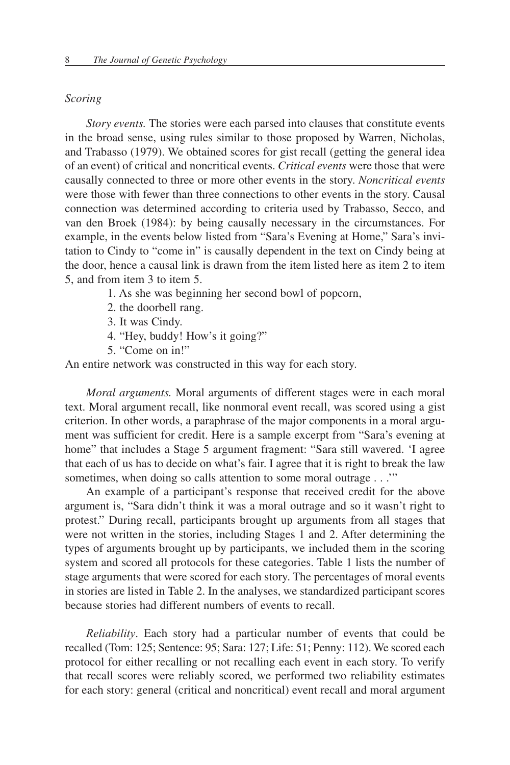## *Scoring*

*Story events.* The stories were each parsed into clauses that constitute events in the broad sense, using rules similar to those proposed by Warren, Nicholas, and Trabasso (1979). We obtained scores for gist recall (getting the general idea of an event) of critical and noncritical events. *Critical events* were those that were causally connected to three or more other events in the story. *Noncritical events* were those with fewer than three connections to other events in the story. Causal connection was determined according to criteria used by Trabasso, Secco, and van den Broek (1984): by being causally necessary in the circumstances. For example, in the events below listed from "Sara's Evening at Home," Sara's invitation to Cindy to "come in" is causally dependent in the text on Cindy being at the door, hence a causal link is drawn from the item listed here as item 2 to item 5, and from item 3 to item 5.

1. As she was beginning her second bowl of popcorn,

2. the doorbell rang.

3. It was Cindy.

4. "Hey, buddy! How's it going?"

5. "Come on in!"

An entire network was constructed in this way for each story.

*Moral arguments.* Moral arguments of different stages were in each moral text. Moral argument recall, like nonmoral event recall, was scored using a gist criterion. In other words, a paraphrase of the major components in a moral argument was sufficient for credit. Here is a sample excerpt from "Sara's evening at home" that includes a Stage 5 argument fragment: "Sara still wavered. 'I agree that each of us has to decide on what's fair. I agree that it is right to break the law sometimes, when doing so calls attention to some moral outrage . . ."

An example of a participant's response that received credit for the above argument is, "Sara didn't think it was a moral outrage and so it wasn't right to protest." During recall, participants brought up arguments from all stages that were not written in the stories, including Stages 1 and 2. After determining the types of arguments brought up by participants, we included them in the scoring system and scored all protocols for these categories. Table 1 lists the number of stage arguments that were scored for each story. The percentages of moral events in stories are listed in Table 2. In the analyses, we standardized participant scores because stories had different numbers of events to recall.

*Reliability*. Each story had a particular number of events that could be recalled (Tom: 125; Sentence: 95; Sara: 127; Life: 51; Penny: 112). We scored each protocol for either recalling or not recalling each event in each story. To verify that recall scores were reliably scored, we performed two reliability estimates for each story: general (critical and noncritical) event recall and moral argument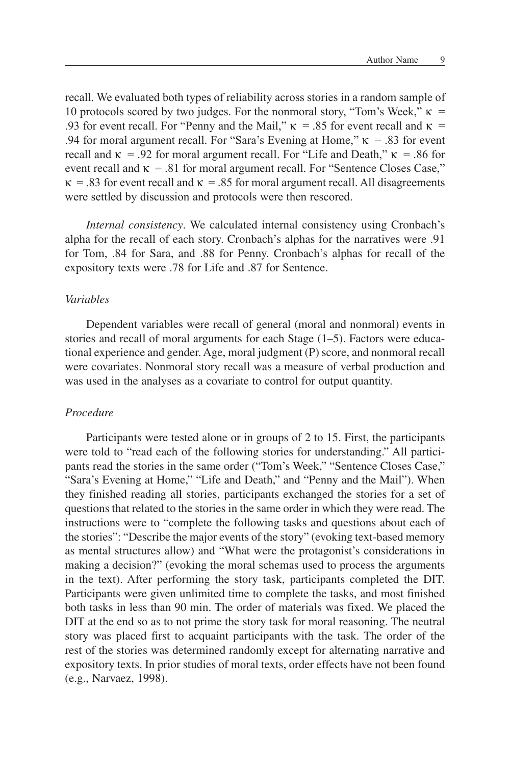recall. We evaluated both types of reliability across stories in a random sample of 10 protocols scored by two judges. For the nonmoral story, "Tom's Week,"  $κ =$ .93 for event recall. For "Penny and the Mail,"  $\kappa$  = .85 for event recall and  $\kappa$  = .94 for moral argument recall. For "Sara's Evening at Home,"  $\kappa = .83$  for event recall and  $\kappa = .92$  for moral argument recall. For "Life and Death,"  $\kappa = .86$  for event recall and  $\kappa = .81$  for moral argument recall. For "Sentence Closes Case,"  $\kappa$  = .83 for event recall and  $\kappa$  = .85 for moral argument recall. All disagreements were settled by discussion and protocols were then rescored.

*Internal consistency*. We calculated internal consistency using Cronbach's alpha for the recall of each story. Cronbach's alphas for the narratives were .91 for Tom, .84 for Sara, and .88 for Penny. Cronbach's alphas for recall of the expository texts were .78 for Life and .87 for Sentence.

# *Variables*

Dependent variables were recall of general (moral and nonmoral) events in stories and recall of moral arguments for each Stage (1–5). Factors were educational experience and gender. Age, moral judgment (P) score, and nonmoral recall were covariates. Nonmoral story recall was a measure of verbal production and was used in the analyses as a covariate to control for output quantity.

## *Procedure*

Participants were tested alone or in groups of 2 to 15. First, the participants were told to "read each of the following stories for understanding." All participants read the stories in the same order ("Tom's Week," "Sentence Closes Case," "Sara's Evening at Home," "Life and Death," and "Penny and the Mail"). When they finished reading all stories, participants exchanged the stories for a set of questions that related to the stories in the same order in which they were read. The instructions were to "complete the following tasks and questions about each of the stories": "Describe the major events of the story" (evoking text-based memory as mental structures allow) and "What were the protagonist's considerations in making a decision?" (evoking the moral schemas used to process the arguments in the text). After performing the story task, participants completed the DIT. Participants were given unlimited time to complete the tasks, and most finished both tasks in less than 90 min. The order of materials was fixed. We placed the DIT at the end so as to not prime the story task for moral reasoning. The neutral story was placed first to acquaint participants with the task. The order of the rest of the stories was determined randomly except for alternating narrative and expository texts. In prior studies of moral texts, order effects have not been found (e.g., Narvaez, 1998).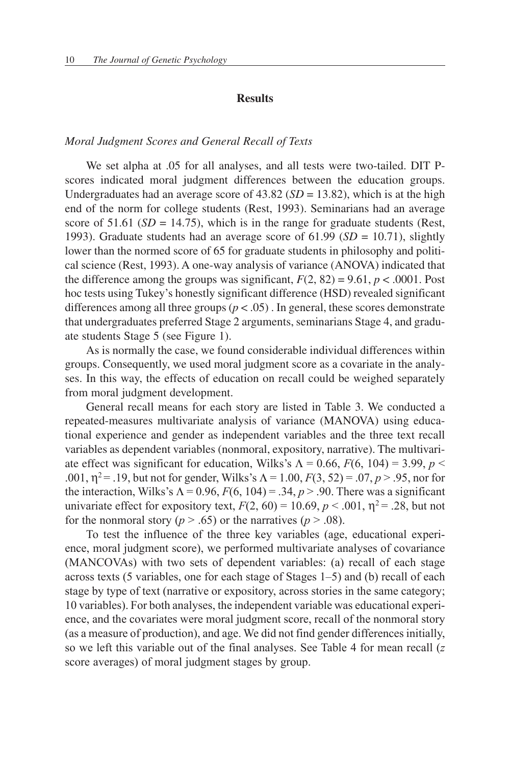#### **Results**

## *Moral Judgment Scores and General Recall of Texts*

We set alpha at .05 for all analyses, and all tests were two-tailed. DIT Pscores indicated moral judgment differences between the education groups. Undergraduates had an average score of  $43.82$  ( $SD = 13.82$ ), which is at the high end of the norm for college students (Rest, 1993). Seminarians had an average score of  $51.61$  ( $SD = 14.75$ ), which is in the range for graduate students (Rest, 1993). Graduate students had an average score of 61.99 (*SD* = 10.71), slightly lower than the normed score of 65 for graduate students in philosophy and political science (Rest, 1993). A one-way analysis of variance (ANOVA) indicated that the difference among the groups was significant,  $F(2, 82) = 9.61$ ,  $p < .0001$ . Post hoc tests using Tukey's honestly significant difference (HSD) revealed significant differences among all three groups  $(p < .05)$ . In general, these scores demonstrate that undergraduates preferred Stage 2 arguments, seminarians Stage 4, and graduate students Stage 5 (see Figure 1).

As is normally the case, we found considerable individual differences within groups. Consequently, we used moral judgment score as a covariate in the analyses. In this way, the effects of education on recall could be weighed separately from moral judgment development.

General recall means for each story are listed in Table 3. We conducted a repeated-measures multivariate analysis of variance (MANOVA) using educational experience and gender as independent variables and the three text recall variables as dependent variables (nonmoral, expository, narrative). The multivariate effect was significant for education, Wilks's  $\Lambda = 0.66$ ,  $F(6, 104) = 3.99$ ,  $p <$ .001,  $\eta^2$  = .19, but not for gender, Wilks's  $\Lambda$  = 1.00,  $F(3, 52)$  = .07,  $p > .95$ , nor for the interaction, Wilks's  $\Lambda = 0.96$ ,  $F(6, 104) = .34$ ,  $p > .90$ . There was a significant univariate effect for expository text,  $F(2, 60) = 10.69$ ,  $p < .001$ ,  $\eta^2 = .28$ , but not for the nonmoral story ( $p > .65$ ) or the narratives ( $p > .08$ ).

To test the influence of the three key variables (age, educational experience, moral judgment score), we performed multivariate analyses of covariance (MANCOVAs) with two sets of dependent variables: (a) recall of each stage across texts (5 variables, one for each stage of Stages 1–5) and (b) recall of each stage by type of text (narrative or expository, across stories in the same category; 10 variables). For both analyses, the independent variable was educational experience, and the covariates were moral judgment score, recall of the nonmoral story (as a measure of production), and age. We did not find gender differences initially, so we left this variable out of the final analyses. See Table 4 for mean recall (*z* score averages) of moral judgment stages by group.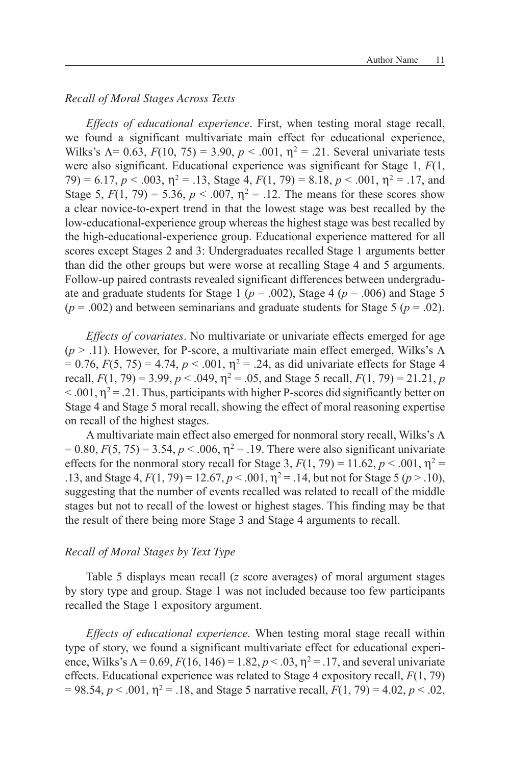## *Recall of Moral Stages Across Texts*

*Effects of educational experience*. First, when testing moral stage recall, we found a significant multivariate main effect for educational experience, Wilks's  $Λ = 0.63$ ,  $F(10, 75) = 3.90$ ,  $p < .001$ ,  $η<sup>2</sup> = .21$ . Several univariate tests were also significant. Educational experience was significant for Stage 1, *F*(1, 79) = 6.17,  $p < .003$ ,  $\eta^2 = .13$ , Stage 4,  $F(1, 79) = 8.18$ ,  $p < .001$ ,  $\eta^2 = .17$ , and Stage 5,  $F(1, 79) = 5.36$ ,  $p < .007$ ,  $\eta^2 = .12$ . The means for these scores show a clear novice-to-expert trend in that the lowest stage was best recalled by the low-educational-experience group whereas the highest stage was best recalled by the high-educational-experience group. Educational experience mattered for all scores except Stages 2 and 3: Undergraduates recalled Stage 1 arguments better than did the other groups but were worse at recalling Stage 4 and 5 arguments. Follow-up paired contrasts revealed significant differences between undergraduate and graduate students for Stage 1 ( $p = .002$ ), Stage 4 ( $p = .006$ ) and Stage 5  $(p = .002)$  and between seminarians and graduate students for Stage 5 ( $p = .02$ ).

*Effects of covariates*. No multivariate or univariate effects emerged for age  $(p > 0.11)$ . However, for P-score, a multivariate main effect emerged, Wilks's  $\Lambda$  $= 0.76$ ,  $F(5, 75) = 4.74$ ,  $p < .001$ ,  $\eta^2 = .24$ , as did univariate effects for Stage 4 recall,  $F(1, 79) = 3.99$ ,  $p < .049$ ,  $\eta^2 = .05$ , and Stage 5 recall,  $F(1, 79) = 21.21$ , p  $<$  001,  $\eta$ <sup>2</sup> = .21. Thus, participants with higher P-scores did significantly better on Stage 4 and Stage 5 moral recall, showing the effect of moral reasoning expertise on recall of the highest stages.

A multivariate main effect also emerged for nonmoral story recall, Wilks's Λ  $= 0.80, F(5, 75) = 3.54, p < .006, \eta^2 = .19$ . There were also significant univariate effects for the nonmoral story recall for Stage 3,  $F(1, 79) = 11.62$ ,  $p < .001$ ,  $\eta^2 =$ .13, and Stage 4,  $F(1, 79) = 12.67$ ,  $p < .001$ ,  $\eta^2 = .14$ , but not for Stage 5 ( $p > .10$ ), suggesting that the number of events recalled was related to recall of the middle stages but not to recall of the lowest or highest stages. This finding may be that the result of there being more Stage 3 and Stage 4 arguments to recall.

## *Recall of Moral Stages by Text Type*

Table 5 displays mean recall (*z* score averages) of moral argument stages by story type and group. Stage 1 was not included because too few participants recalled the Stage 1 expository argument.

*Effects of educational experience.* When testing moral stage recall within type of story, we found a significant multivariate effect for educational experience, Wilks's  $\Lambda = 0.69$ ,  $F(16, 146) = 1.82$ ,  $p < .03$ ,  $\eta^2 = .17$ , and several univariate effects. Educational experience was related to Stage 4 expository recall, *F*(1, 79)  $= 98.54, p < .001, \eta^2 = .18$ , and Stage 5 narrative recall,  $F(1, 79) = 4.02, p < .02$ ,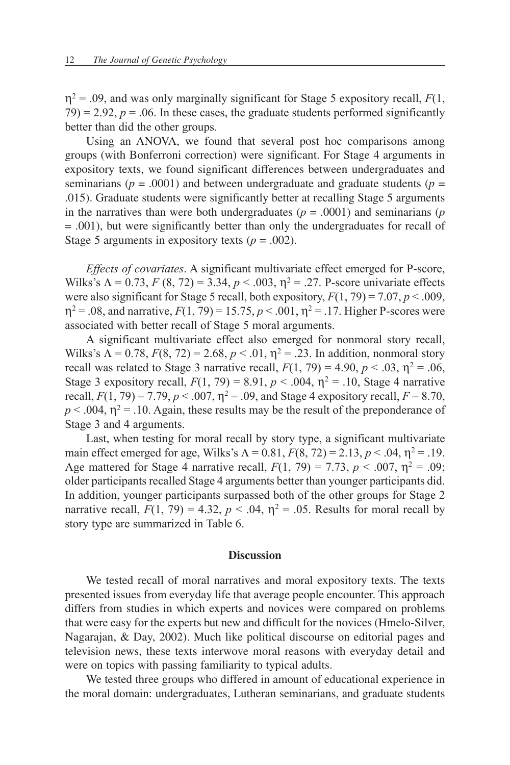$\eta^2$  = .09, and was only marginally significant for Stage 5 expository recall,  $F(1)$ ,  $79$ ) = 2.92,  $p = 0.06$ . In these cases, the graduate students performed significantly better than did the other groups.

Using an ANOVA, we found that several post hoc comparisons among groups (with Bonferroni correction) were significant. For Stage 4 arguments in expository texts, we found significant differences between undergraduates and seminarians ( $p = .0001$ ) and between undergraduate and graduate students ( $p =$ .015). Graduate students were significantly better at recalling Stage 5 arguments in the narratives than were both undergraduates  $(p = .0001)$  and seminarians  $(p)$ = .001), but were significantly better than only the undergraduates for recall of Stage 5 arguments in expository texts ( $p = .002$ ).

*Effects of covariates*. A significant multivariate effect emerged for P-score, Wilks's  $Λ = 0.73$ ,  $F(8, 72) = 3.34$ ,  $p < .003$ ,  $η<sup>2</sup> = .27$ . P-score univariate effects were also significant for Stage 5 recall, both expository,  $F(1, 79) = 7.07$ ,  $p < .009$ ,  $\eta^2 = .08$ , and narrative,  $F(1, 79) = 15.75$ ,  $p < .001$ ,  $\eta^2 = .17$ . Higher P-scores were associated with better recall of Stage 5 moral arguments.

A significant multivariate effect also emerged for nonmoral story recall, Wilks's  $Λ = 0.78$ ,  $F(8, 72) = 2.68$ ,  $p < .01$ ,  $η<sup>2</sup> = .23$ . In addition, nonmoral story recall was related to Stage 3 narrative recall,  $F(1, 79) = 4.90, p < .03, η<sup>2</sup> = .06,$ Stage 3 expository recall,  $F(1, 79) = 8.91$ ,  $p < .004$ ,  $\eta^2 = .10$ , Stage 4 narrative recall,  $F(1, 79) = 7.79$ ,  $p < .007$ ,  $\eta^2 = .09$ , and Stage 4 expository recall,  $F = 8.70$ ,  $p < .004$ ,  $\eta^2 = .10$ . Again, these results may be the result of the preponderance of Stage 3 and 4 arguments.

Last, when testing for moral recall by story type, a significant multivariate main effect emerged for age, Wilks's  $\Lambda = 0.81$ ,  $F(8, 72) = 2.13$ ,  $p < .04$ ,  $\eta^2 = .19$ . Age mattered for Stage 4 narrative recall,  $F(1, 79) = 7.73$ ,  $p < .007$ ,  $\eta^2 = .09$ ; older participants recalled Stage 4 arguments better than younger participants did. In addition, younger participants surpassed both of the other groups for Stage 2 narrative recall,  $F(1, 79) = 4.32$ ,  $p < .04$ ,  $\eta^2 = .05$ . Results for moral recall by story type are summarized in Table 6.

## **Discussion**

We tested recall of moral narratives and moral expository texts. The texts presented issues from everyday life that average people encounter. This approach differs from studies in which experts and novices were compared on problems that were easy for the experts but new and difficult for the novices (Hmelo-Silver, Nagarajan, & Day, 2002). Much like political discourse on editorial pages and television news, these texts interwove moral reasons with everyday detail and were on topics with passing familiarity to typical adults.

We tested three groups who differed in amount of educational experience in the moral domain: undergraduates, Lutheran seminarians, and graduate students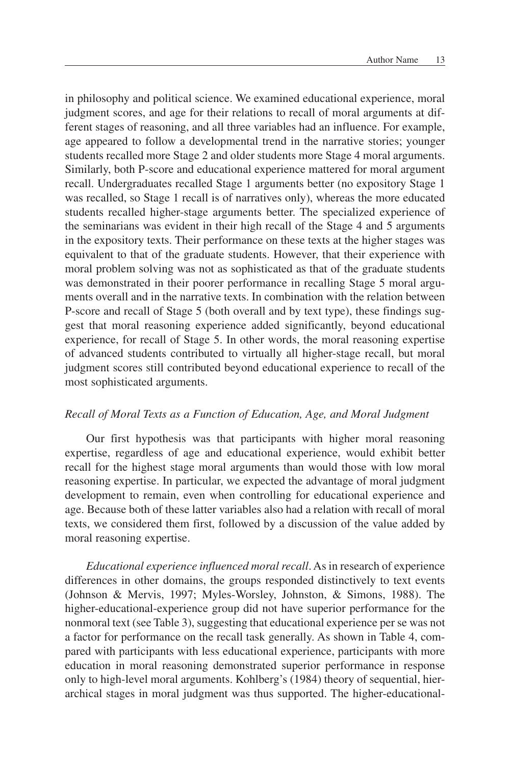in philosophy and political science. We examined educational experience, moral judgment scores, and age for their relations to recall of moral arguments at different stages of reasoning, and all three variables had an influence. For example, age appeared to follow a developmental trend in the narrative stories; younger students recalled more Stage 2 and older students more Stage 4 moral arguments. Similarly, both P-score and educational experience mattered for moral argument recall. Undergraduates recalled Stage 1 arguments better (no expository Stage 1 was recalled, so Stage 1 recall is of narratives only), whereas the more educated students recalled higher-stage arguments better. The specialized experience of the seminarians was evident in their high recall of the Stage 4 and 5 arguments in the expository texts. Their performance on these texts at the higher stages was equivalent to that of the graduate students. However, that their experience with moral problem solving was not as sophisticated as that of the graduate students was demonstrated in their poorer performance in recalling Stage 5 moral arguments overall and in the narrative texts. In combination with the relation between P-score and recall of Stage 5 (both overall and by text type), these findings suggest that moral reasoning experience added significantly, beyond educational experience, for recall of Stage 5. In other words, the moral reasoning expertise of advanced students contributed to virtually all higher-stage recall, but moral judgment scores still contributed beyond educational experience to recall of the most sophisticated arguments.

# *Recall of Moral Texts as a Function of Education, Age, and Moral Judgment*

Our first hypothesis was that participants with higher moral reasoning expertise, regardless of age and educational experience, would exhibit better recall for the highest stage moral arguments than would those with low moral reasoning expertise. In particular, we expected the advantage of moral judgment development to remain, even when controlling for educational experience and age. Because both of these latter variables also had a relation with recall of moral texts, we considered them first, followed by a discussion of the value added by moral reasoning expertise.

*Educational experience influenced moral recall*. As in research of experience differences in other domains, the groups responded distinctively to text events (Johnson & Mervis, 1997; Myles-Worsley, Johnston, & Simons, 1988). The higher-educational-experience group did not have superior performance for the nonmoral text (see Table 3), suggesting that educational experience per se was not a factor for performance on the recall task generally. As shown in Table 4, compared with participants with less educational experience, participants with more education in moral reasoning demonstrated superior performance in response only to high-level moral arguments. Kohlberg's (1984) theory of sequential, hierarchical stages in moral judgment was thus supported. The higher-educational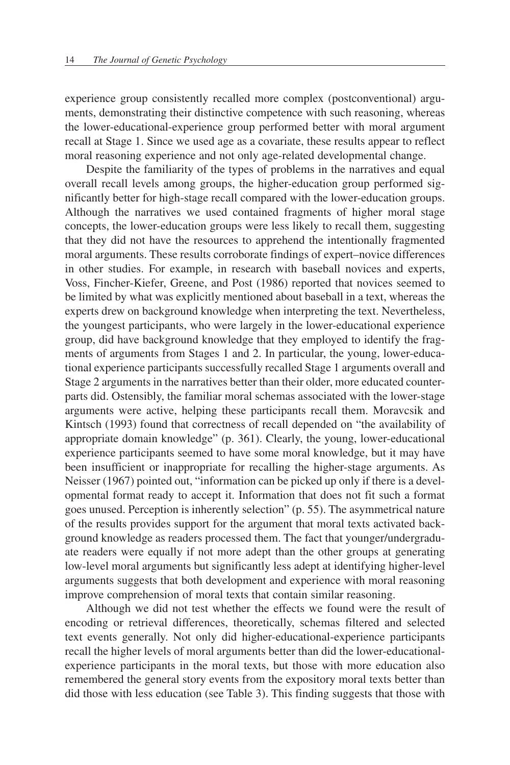experience group consistently recalled more complex (postconventional) arguments, demonstrating their distinctive competence with such reasoning, whereas the lower-educational-experience group performed better with moral argument recall at Stage 1. Since we used age as a covariate, these results appear to reflect moral reasoning experience and not only age-related developmental change.

Despite the familiarity of the types of problems in the narratives and equal overall recall levels among groups, the higher-education group performed significantly better for high-stage recall compared with the lower-education groups. Although the narratives we used contained fragments of higher moral stage concepts, the lower-education groups were less likely to recall them, suggesting that they did not have the resources to apprehend the intentionally fragmented moral arguments. These results corroborate findings of expert–novice differences in other studies. For example, in research with baseball novices and experts, Voss, Fincher-Kiefer, Greene, and Post (1986) reported that novices seemed to be limited by what was explicitly mentioned about baseball in a text, whereas the experts drew on background knowledge when interpreting the text. Nevertheless, the youngest participants, who were largely in the lower-educational experience group, did have background knowledge that they employed to identify the fragments of arguments from Stages 1 and 2. In particular, the young, lower-educational experience participants successfully recalled Stage 1 arguments overall and Stage 2 arguments in the narratives better than their older, more educated counterparts did. Ostensibly, the familiar moral schemas associated with the lower-stage arguments were active, helping these participants recall them. Moravcsik and Kintsch (1993) found that correctness of recall depended on "the availability of appropriate domain knowledge" (p. 361). Clearly, the young, lower-educational experience participants seemed to have some moral knowledge, but it may have been insufficient or inappropriate for recalling the higher-stage arguments. As Neisser (1967) pointed out, "information can be picked up only if there is a developmental format ready to accept it. Information that does not fit such a format goes unused. Perception is inherently selection" (p. 55). The asymmetrical nature of the results provides support for the argument that moral texts activated background knowledge as readers processed them. The fact that younger/undergraduate readers were equally if not more adept than the other groups at generating low-level moral arguments but significantly less adept at identifying higher-level arguments suggests that both development and experience with moral reasoning improve comprehension of moral texts that contain similar reasoning.

Although we did not test whether the effects we found were the result of encoding or retrieval differences, theoretically, schemas filtered and selected text events generally. Not only did higher-educational-experience participants recall the higher levels of moral arguments better than did the lower-educationalexperience participants in the moral texts, but those with more education also remembered the general story events from the expository moral texts better than did those with less education (see Table 3). This finding suggests that those with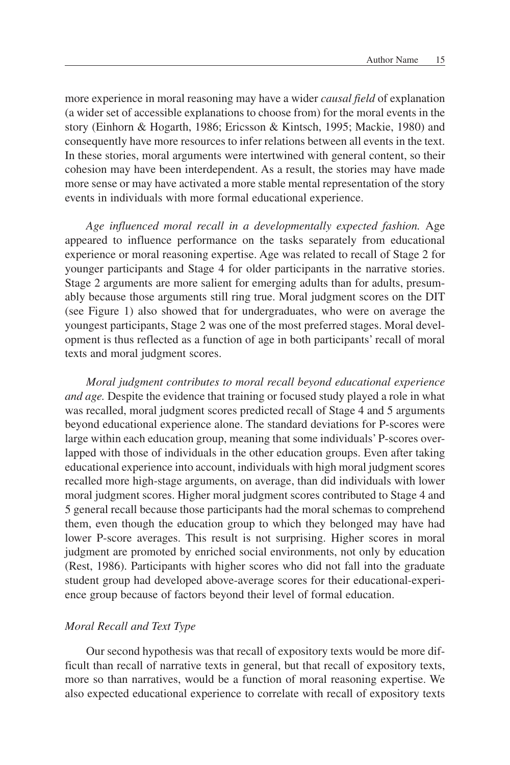more experience in moral reasoning may have a wider *causal field* of explanation (a wider set of accessible explanations to choose from) for the moral events in the story (Einhorn & Hogarth, 1986; Ericsson & Kintsch, 1995; Mackie, 1980) and consequently have more resources to infer relations between all events in the text. In these stories, moral arguments were intertwined with general content, so their cohesion may have been interdependent. As a result, the stories may have made more sense or may have activated a more stable mental representation of the story events in individuals with more formal educational experience.

*Age influenced moral recall in a developmentally expected fashion.* Age appeared to influence performance on the tasks separately from educational experience or moral reasoning expertise. Age was related to recall of Stage 2 for younger participants and Stage 4 for older participants in the narrative stories. Stage 2 arguments are more salient for emerging adults than for adults, presumably because those arguments still ring true. Moral judgment scores on the DIT (see Figure 1) also showed that for undergraduates, who were on average the youngest participants, Stage 2 was one of the most preferred stages. Moral development is thus reflected as a function of age in both participants' recall of moral texts and moral judgment scores.

*Moral judgment contributes to moral recall beyond educational experience and age.* Despite the evidence that training or focused study played a role in what was recalled, moral judgment scores predicted recall of Stage 4 and 5 arguments beyond educational experience alone. The standard deviations for P-scores were large within each education group, meaning that some individuals' P-scores overlapped with those of individuals in the other education groups. Even after taking educational experience into account, individuals with high moral judgment scores recalled more high-stage arguments, on average, than did individuals with lower moral judgment scores. Higher moral judgment scores contributed to Stage 4 and 5 general recall because those participants had the moral schemas to comprehend them, even though the education group to which they belonged may have had lower P-score averages. This result is not surprising. Higher scores in moral judgment are promoted by enriched social environments, not only by education (Rest, 1986). Participants with higher scores who did not fall into the graduate student group had developed above-average scores for their educational-experience group because of factors beyond their level of formal education.

# *Moral Recall and Text Type*

Our second hypothesis was that recall of expository texts would be more difficult than recall of narrative texts in general, but that recall of expository texts, more so than narratives, would be a function of moral reasoning expertise. We also expected educational experience to correlate with recall of expository texts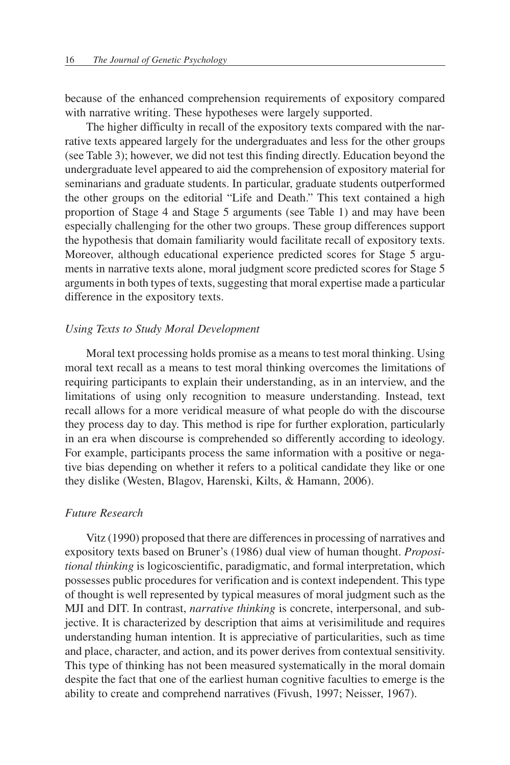because of the enhanced comprehension requirements of expository compared with narrative writing. These hypotheses were largely supported.

The higher difficulty in recall of the expository texts compared with the narrative texts appeared largely for the undergraduates and less for the other groups (see Table 3); however, we did not test this finding directly. Education beyond the undergraduate level appeared to aid the comprehension of expository material for seminarians and graduate students. In particular, graduate students outperformed the other groups on the editorial "Life and Death." This text contained a high proportion of Stage 4 and Stage 5 arguments (see Table 1) and may have been especially challenging for the other two groups. These group differences support the hypothesis that domain familiarity would facilitate recall of expository texts. Moreover, although educational experience predicted scores for Stage 5 arguments in narrative texts alone, moral judgment score predicted scores for Stage 5 arguments in both types of texts, suggesting that moral expertise made a particular difference in the expository texts.

## *Using Texts to Study Moral Development*

Moral text processing holds promise as a means to test moral thinking. Using moral text recall as a means to test moral thinking overcomes the limitations of requiring participants to explain their understanding, as in an interview, and the limitations of using only recognition to measure understanding. Instead, text recall allows for a more veridical measure of what people do with the discourse they process day to day. This method is ripe for further exploration, particularly in an era when discourse is comprehended so differently according to ideology. For example, participants process the same information with a positive or negative bias depending on whether it refers to a political candidate they like or one they dislike (Westen, Blagov, Harenski, Kilts, & Hamann, 2006).

# *Future Research*

Vitz (1990) proposed that there are differences in processing of narratives and expository texts based on Bruner's (1986) dual view of human thought. *Propositional thinking* is logicoscientific, paradigmatic, and formal interpretation, which possesses public procedures for verification and is context independent. This type of thought is well represented by typical measures of moral judgment such as the MJI and DIT. In contrast, *narrative thinking* is concrete, interpersonal, and subjective. It is characterized by description that aims at verisimilitude and requires understanding human intention. It is appreciative of particularities, such as time and place, character, and action, and its power derives from contextual sensitivity. This type of thinking has not been measured systematically in the moral domain despite the fact that one of the earliest human cognitive faculties to emerge is the ability to create and comprehend narratives (Fivush, 1997; Neisser, 1967).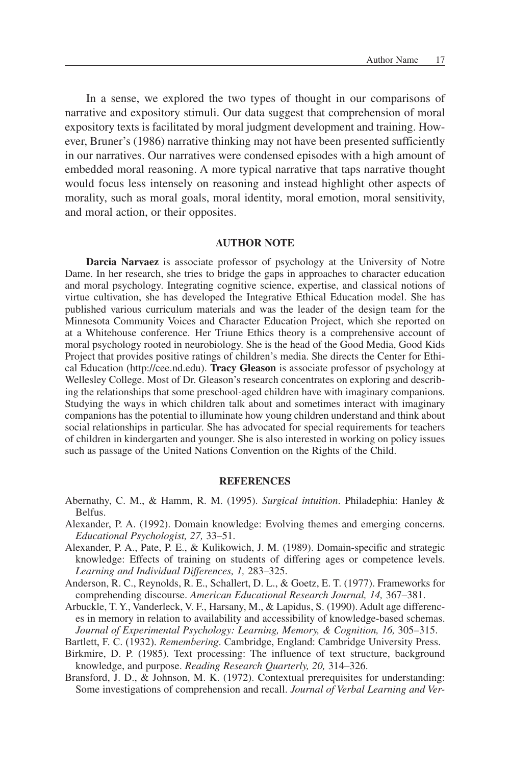In a sense, we explored the two types of thought in our comparisons of narrative and expository stimuli. Our data suggest that comprehension of moral expository texts is facilitated by moral judgment development and training. However, Bruner's (1986) narrative thinking may not have been presented sufficiently in our narratives. Our narratives were condensed episodes with a high amount of embedded moral reasoning. A more typical narrative that taps narrative thought would focus less intensely on reasoning and instead highlight other aspects of morality, such as moral goals, moral identity, moral emotion, moral sensitivity, and moral action, or their opposites.

#### **AUTHOR NOTE**

**Darcia Narvaez** is associate professor of psychology at the University of Notre Dame. In her research, she tries to bridge the gaps in approaches to character education and moral psychology. Integrating cognitive science, expertise, and classical notions of virtue cultivation, she has developed the Integrative Ethical Education model. She has published various curriculum materials and was the leader of the design team for the Minnesota Community Voices and Character Education Project, which she reported on at a Whitehouse conference. Her Triune Ethics theory is a comprehensive account of moral psychology rooted in neurobiology. She is the head of the Good Media, Good Kids Project that provides positive ratings of children's media. She directs the Center for Ethical Education (http://cee.nd.edu). **Tracy Gleason** is associate professor of psychology at Wellesley College. Most of Dr. Gleason's research concentrates on exploring and describing the relationships that some preschool-aged children have with imaginary companions. Studying the ways in which children talk about and sometimes interact with imaginary companions has the potential to illuminate how young children understand and think about social relationships in particular. She has advocated for special requirements for teachers of children in kindergarten and younger. She is also interested in working on policy issues such as passage of the United Nations Convention on the Rights of the Child.

#### **REFERENCES**

- Abernathy, C. M., & Hamm, R. M. (1995). *Surgical intuition*. Philadephia: Hanley & Belfus.
- Alexander, P. A. (1992). Domain knowledge: Evolving themes and emerging concerns. *Educational Psychologist, 27,* 33–51.
- Alexander, P. A., Pate, P. E., & Kulikowich, J. M. (1989). Domain-specific and strategic knowledge: Effects of training on students of differing ages or competence levels. *Learning and Individual Differences, 1,* 283–325.
- Anderson, R. C., Reynolds, R. E., Schallert, D. L., & Goetz, E. T. (1977). Frameworks for comprehending discourse. *American Educational Research Journal, 14,* 367–381.
- Arbuckle, T. Y., Vanderleck, V. F., Harsany, M., & Lapidus, S. (1990). Adult age differences in memory in relation to availability and accessibility of knowledge-based schemas. *Journal of Experimental Psychology: Learning, Memory, & Cognition, 16,* 305–315.
- Bartlett, F. C. (1932). *Remembering*. Cambridge, England: Cambridge University Press.
- Birkmire, D. P. (1985). Text processing: The influence of text structure, background knowledge, and purpose. *Reading Research Quarterly, 20,* 314–326.
- Bransford, J. D., & Johnson, M. K. (1972). Contextual prerequisites for understanding: Some investigations of comprehension and recall. *Journal of Verbal Learning and Ver-*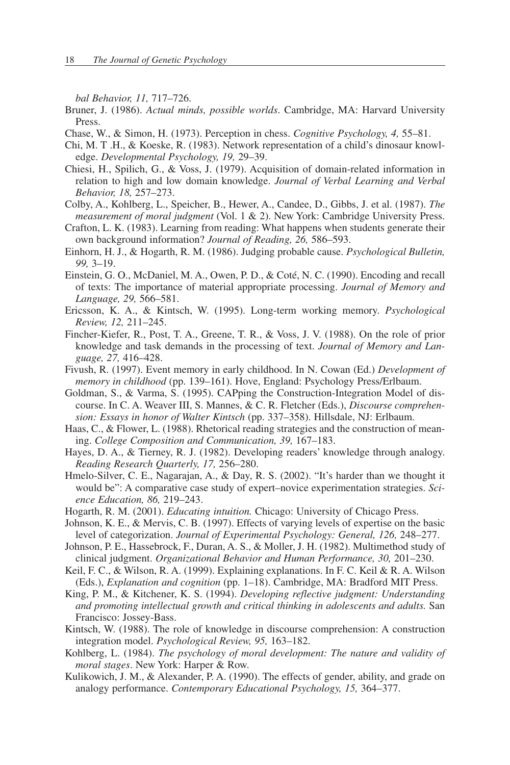*bal Behavior, 11,* 717–726.

- Bruner, J. (1986). *Actual minds, possible worlds*. Cambridge, MA: Harvard University Press.
- Chase, W., & Simon, H. (1973). Perception in chess. *Cognitive Psychology, 4,* 55–81.
- Chi, M. T .H., & Koeske, R. (1983). Network representation of a child's dinosaur knowledge. *Developmental Psychology, 19,* 29–39.
- Chiesi, H., Spilich, G., & Voss, J. (1979). Acquisition of domain-related information in relation to high and low domain knowledge. *Journal of Verbal Learning and Verbal Behavior, 18,* 257–273.
- Colby, A., Kohlberg, L., Speicher, B., Hewer, A., Candee, D., Gibbs, J. et al. (1987). *The measurement of moral judgment* (Vol. 1 & 2). New York: Cambridge University Press.
- Crafton, L. K. (1983). Learning from reading: What happens when students generate their own background information? *Journal of Reading, 26,* 586–593.
- Einhorn, H. J., & Hogarth, R. M. (1986). Judging probable cause. *Psychological Bulletin, 99,* 3–19.
- Einstein, G. O., McDaniel, M. A., Owen, P. D., & Coté, N. C. (1990). Encoding and recall of texts: The importance of material appropriate processing. *Journal of Memory and Language, 29,* 566–581.
- Ericsson, K. A., & Kintsch, W. (1995). Long-term working memory. *Psychological Review, 12,* 211–245.
- Fincher-Kiefer, R., Post, T. A., Greene, T. R., & Voss, J. V. (1988). On the role of prior knowledge and task demands in the processing of text. *Journal of Memory and Language, 27,* 416–428.
- Fivush, R. (1997). Event memory in early childhood. In N. Cowan (Ed.) *Development of memory in childhood* (pp. 139–161). Hove, England: Psychology Press/Erlbaum.
- Goldman, S., & Varma, S. (1995). CAPping the Construction-Integration Model of discourse. In C. A. Weaver III, S. Mannes, & C. R. Fletcher (Eds.), *Discourse comprehension: Essays in honor of Walter Kintsch* (pp. 337–358). Hillsdale, NJ: Erlbaum.
- Haas, C., & Flower, L. (1988). Rhetorical reading strategies and the construction of meaning. *College Composition and Communication, 39,* 167–183.
- Hayes, D. A., & Tierney, R. J. (1982). Developing readers' knowledge through analogy. *Reading Research Quarterly, 17,* 256–280.
- Hmelo-Silver, C. E., Nagarajan, A., & Day, R. S. (2002). "It's harder than we thought it would be": A comparative case study of expert–novice experimentation strategies. *Science Education, 86,* 219–243.
- Hogarth, R. M. (2001). *Educating intuition.* Chicago: University of Chicago Press.
- Johnson, K. E., & Mervis, C. B. (1997). Effects of varying levels of expertise on the basic level of categorization. *Journal of Experimental Psychology: General, 126,* 248–277.
- Johnson, P. E., Hassebrock, F., Duran, A. S., & Moller, J. H. (1982). Multimethod study of clinical judgment. *Organizational Behavior and Human Performance, 30,* 201–230.
- Keil, F. C., & Wilson, R. A. (1999). Explaining explanations. In F. C. Keil & R. A. Wilson (Eds.), *Explanation and cognition* (pp. 1–18). Cambridge, MA: Bradford MIT Press.
- King, P. M., & Kitchener, K. S. (1994). *Developing reflective judgment: Understanding and promoting intellectual growth and critical thinking in adolescents and adults.* San Francisco: Jossey-Bass.
- Kintsch, W. (1988). The role of knowledge in discourse comprehension: A construction integration model. *Psychological Review, 95,* 163–182.
- Kohlberg, L. (1984). *The psychology of moral development: The nature and validity of moral stages*. New York: Harper & Row.
- Kulikowich, J. M., & Alexander, P. A. (1990). The effects of gender, ability, and grade on analogy performance. *Contemporary Educational Psychology, 15,* 364–377.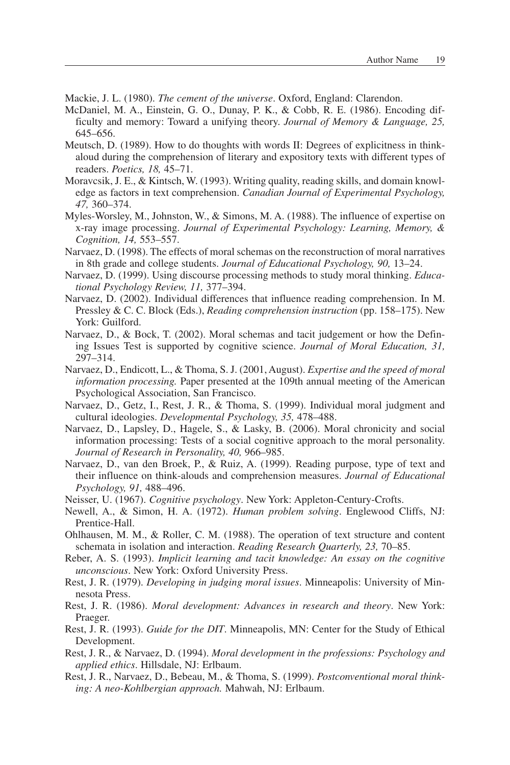Mackie, J. L. (1980). *The cement of the universe*. Oxford, England: Clarendon.

- McDaniel, M. A., Einstein, G. O., Dunay, P. K., & Cobb, R. E. (1986). Encoding difficulty and memory: Toward a unifying theory. *Journal of Memory & Language, 25,* 645–656.
- Meutsch, D. (1989). How to do thoughts with words II: Degrees of explicitness in thinkaloud during the comprehension of literary and expository texts with different types of readers. *Poetics, 18,* 45–71.
- Moravcsik, J. E., & Kintsch, W. (1993). Writing quality, reading skills, and domain knowledge as factors in text comprehension. *Canadian Journal of Experimental Psychology, 47,* 360–374.
- Myles-Worsley, M., Johnston, W., & Simons, M. A. (1988). The influence of expertise on x-ray image processing. *Journal of Experimental Psychology: Learning, Memory, & Cognition, 14,* 553–557.
- Narvaez, D. (1998). The effects of moral schemas on the reconstruction of moral narratives in 8th grade and college students. *Journal of Educational Psychology, 90,* 13–24.
- Narvaez, D. (1999). Using discourse processing methods to study moral thinking. *Educational Psychology Review, 11,* 377–394.
- Narvaez, D. (2002). Individual differences that influence reading comprehension. In M. Pressley & C. C. Block (Eds.), *Reading comprehension instruction* (pp. 158–175). New York: Guilford.
- Narvaez, D., & Bock, T. (2002). Moral schemas and tacit judgement or how the Defining Issues Test is supported by cognitive science. *Journal of Moral Education, 31,* 297–314.
- Narvaez, D., Endicott, L., & Thoma, S. J. (2001, August). *Expertise and the speed of moral information processing.* Paper presented at the 109th annual meeting of the American Psychological Association, San Francisco.
- Narvaez, D., Getz, I., Rest, J. R., & Thoma, S. (1999). Individual moral judgment and cultural ideologies. *Developmental Psychology, 35,* 478–488.
- Narvaez, D., Lapsley, D., Hagele, S., & Lasky, B. (2006). Moral chronicity and social information processing: Tests of a social cognitive approach to the moral personality. *Journal of Research in Personality, 40,* 966–985.
- Narvaez, D., van den Broek, P., & Ruiz, A. (1999). Reading purpose, type of text and their influence on think-alouds and comprehension measures. *Journal of Educational Psychology, 91,* 488–496.
- Neisser, U. (1967). *Cognitive psychology*. New York: Appleton-Century-Crofts.
- Newell, A., & Simon, H. A. (1972). *Human problem solving*. Englewood Cliffs, NJ: Prentice-Hall.
- Ohlhausen, M. M., & Roller, C. M. (1988). The operation of text structure and content schemata in isolation and interaction. *Reading Research Quarterly, 23,* 70–85.
- Reber, A. S. (1993). *Implicit learning and tacit knowledge: An essay on the cognitive unconscious*. New York: Oxford University Press.
- Rest, J. R. (1979). *Developing in judging moral issues*. Minneapolis: University of Minnesota Press.
- Rest, J. R. (1986). *Moral development: Advances in research and theory*. New York: Praeger.
- Rest, J. R. (1993). *Guide for the DIT*. Minneapolis, MN: Center for the Study of Ethical Development.
- Rest, J. R., & Narvaez, D. (1994). *Moral development in the professions: Psychology and applied ethics*. Hillsdale, NJ: Erlbaum.
- Rest, J. R., Narvaez, D., Bebeau, M., & Thoma, S. (1999). *Postconventional moral thinking: A neo-Kohlbergian approach.* Mahwah, NJ: Erlbaum.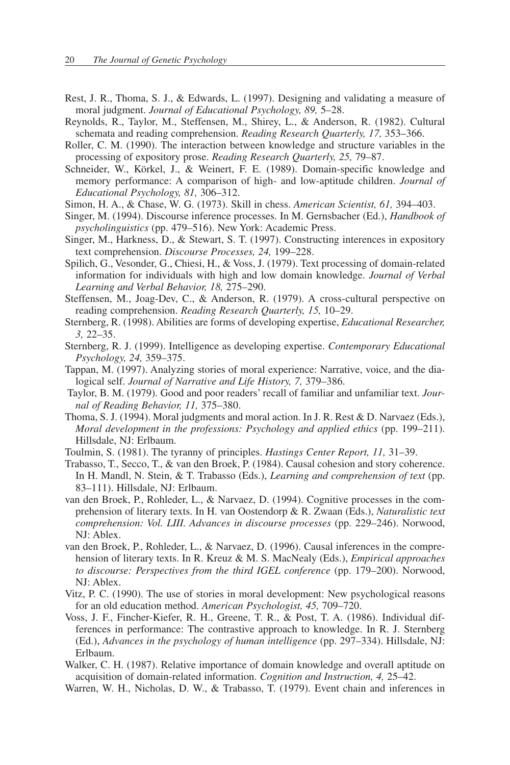- Rest, J. R., Thoma, S. J., & Edwards, L. (1997). Designing and validating a measure of moral judgment. *Journal of Educational Psychology, 89,* 5–28.
- Reynolds, R., Taylor, M., Steffensen, M., Shirey, L., & Anderson, R. (1982). Cultural schemata and reading comprehension. *Reading Research Quarterly, 17,* 353–366.
- Roller, C. M. (1990). The interaction between knowledge and structure variables in the processing of expository prose. *Reading Research Quarterly, 25,* 79–87.
- Schneider, W., Körkel, J., & Weinert, F. E. (1989). Domain-specific knowledge and memory performance: A comparison of high- and low-aptitude children. *Journal of Educational Psychology, 81,* 306–312.
- Simon, H. A., & Chase, W. G. (1973). Skill in chess. *American Scientist, 61,* 394–403.
- Singer, M. (1994). Discourse inference processes. In M. Gernsbacher (Ed.), *Handbook of psycholinguistics* (pp. 479–516). New York: Academic Press.
- Singer, M., Harkness, D., & Stewart, S. T. (1997). Constructing interences in expository text comprehension. *Discourse Processes, 24,* 199–228.
- Spilich, G., Vesonder, G., Chiesi, H., & Voss, J. (1979). Text processing of domain-related information for individuals with high and low domain knowledge. *Journal of Verbal Learning and Verbal Behavior, 18,* 275–290.
- Steffensen, M., Joag-Dev, C., & Anderson, R. (1979). A cross-cultural perspective on reading comprehension. *Reading Research Quarterly, 15,* 10–29.
- Sternberg, R. (1998). Abilities are forms of developing expertise, *Educational Researcher, 3,* 22–35.
- Sternberg, R. J. (1999). Intelligence as developing expertise. *Contemporary Educational Psychology, 24,* 359–375.
- Tappan, M. (1997). Analyzing stories of moral experience: Narrative, voice, and the dialogical self. *Journal of Narrative and Life History, 7,* 379–386.
- Taylor, B. M. (1979). Good and poor readers' recall of familiar and unfamiliar text. *Journal of Reading Behavior, 11,* 375–380.
- Thoma, S. J. (1994). Moral judgments and moral action. In J. R. Rest & D. Narvaez (Eds.), *Moral development in the professions: Psychology and applied ethics* (pp. 199–211). Hillsdale, NJ: Erlbaum.
- Toulmin, S. (1981). The tyranny of principles. *Hastings Center Report, 11,* 31–39.
- Trabasso, T., Secco, T., & van den Broek, P. (1984). Causal cohesion and story coherence. In H. Mandl, N. Stein, & T. Trabasso (Eds.), *Learning and comprehension of text* (pp. 83–111). Hillsdale, NJ: Erlbaum.
- van den Broek, P., Rohleder, L., & Narvaez, D. (1994). Cognitive processes in the comprehension of literary texts. In H. van Oostendorp & R. Zwaan (Eds.), *Naturalistic text comprehension: Vol. LIII. Advances in discourse processes* (pp. 229–246). Norwood, NJ: Ablex.
- van den Broek, P., Rohleder, L., & Narvaez, D. (1996). Causal inferences in the comprehension of literary texts. In R. Kreuz & M. S. MacNealy (Eds.), *Empirical approaches to discourse: Perspectives from the third IGEL conference* (pp. 179–200). Norwood, NJ: Ablex.
- Vitz, P. C. (1990). The use of stories in moral development: New psychological reasons for an old education method. *American Psychologist, 45,* 709–720.
- Voss, J. F., Fincher-Kiefer, R. H., Greene, T. R., & Post, T. A. (1986). Individual differences in performance: The contrastive approach to knowledge. In R. J. Sternberg (Ed.), *Advances in the psychology of human intelligence* (pp. 297–334). Hillsdale, NJ: Erlbaum.
- Walker, C. H. (1987). Relative importance of domain knowledge and overall aptitude on acquisition of domain-related information. *Cognition and Instruction, 4,* 25–42.
- Warren, W. H., Nicholas, D. W., & Trabasso, T. (1979). Event chain and inferences in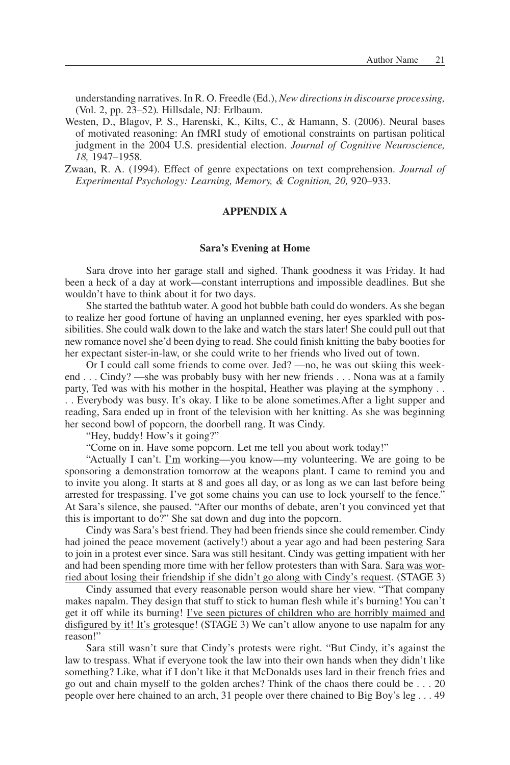understanding narratives. In R. O. Freedle (Ed.), *New directions in discourse processing,*  (Vol. 2, pp. 23–52)*.* Hillsdale, NJ: Erlbaum.

- Westen, D., Blagov, P. S., Harenski, K., Kilts, C., & Hamann, S. (2006). Neural bases of motivated reasoning: An fMRI study of emotional constraints on partisan political judgment in the 2004 U.S. presidential election. *Journal of Cognitive Neuroscience, 18,* 1947–1958.
- Zwaan, R. A. (1994). Effect of genre expectations on text comprehension. *Journal of Experimental Psychology: Learning, Memory, & Cognition, 20,* 920–933.

#### **APPENDIX A**

#### **Sara's Evening at Home**

Sara drove into her garage stall and sighed. Thank goodness it was Friday. It had been a heck of a day at work—constant interruptions and impossible deadlines. But she wouldn't have to think about it for two days.

She started the bathtub water. A good hot bubble bath could do wonders. As she began to realize her good fortune of having an unplanned evening, her eyes sparkled with possibilities. She could walk down to the lake and watch the stars later! She could pull out that new romance novel she'd been dying to read. She could finish knitting the baby booties for her expectant sister-in-law, or she could write to her friends who lived out of town.

Or I could call some friends to come over. Jed? —no, he was out skiing this weekend . . . Cindy? —she was probably busy with her new friends . . . Nona was at a family party, Ted was with his mother in the hospital, Heather was playing at the symphony . . . . Everybody was busy. It's okay. I like to be alone sometimes.After a light supper and reading, Sara ended up in front of the television with her knitting. As she was beginning her second bowl of popcorn, the doorbell rang. It was Cindy.

"Hey, buddy! How's it going?"

"Come on in. Have some popcorn. Let me tell you about work today!"

"Actually I can't. I'm working—you know—my volunteering. We are going to be sponsoring a demonstration tomorrow at the weapons plant. I came to remind you and to invite you along. It starts at 8 and goes all day, or as long as we can last before being arrested for trespassing. I've got some chains you can use to lock yourself to the fence." At Sara's silence, she paused. "After our months of debate, aren't you convinced yet that this is important to do?" She sat down and dug into the popcorn.

Cindy was Sara's best friend. They had been friends since she could remember. Cindy had joined the peace movement (actively!) about a year ago and had been pestering Sara to join in a protest ever since. Sara was still hesitant. Cindy was getting impatient with her and had been spending more time with her fellow protesters than with Sara. Sara was worried about losing their friendship if she didn't go along with Cindy's request. (STAGE 3)

Cindy assumed that every reasonable person would share her view. "That company makes napalm. They design that stuff to stick to human flesh while it's burning! You can't get it off while its burning! I've seen pictures of children who are horribly maimed and disfigured by it! It's grotesque! (STAGE 3) We can't allow anyone to use napalm for any reason!"

Sara still wasn't sure that Cindy's protests were right. "But Cindy, it's against the law to trespass. What if everyone took the law into their own hands when they didn't like something? Like, what if I don't like it that McDonalds uses lard in their french fries and go out and chain myself to the golden arches? Think of the chaos there could be . . . 20 people over here chained to an arch, 31 people over there chained to Big Boy's leg . . . 49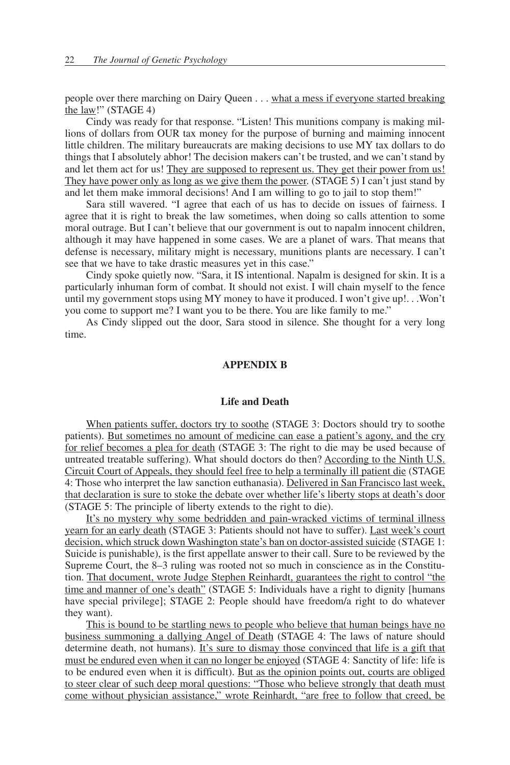people over there marching on Dairy Queen . . . what a mess if everyone started breaking the law!" (STAGE 4)

Cindy was ready for that response. "Listen! This munitions company is making millions of dollars from OUR tax money for the purpose of burning and maiming innocent little children. The military bureaucrats are making decisions to use MY tax dollars to do things that I absolutely abhor! The decision makers can't be trusted, and we can't stand by and let them act for us! They are supposed to represent us. They get their power from us! They have power only as long as we give them the power. (STAGE 5) I can't just stand by and let them make immoral decisions! And I am willing to go to jail to stop them!"

Sara still wavered. "I agree that each of us has to decide on issues of fairness. I agree that it is right to break the law sometimes, when doing so calls attention to some moral outrage. But I can't believe that our government is out to napalm innocent children, although it may have happened in some cases. We are a planet of wars. That means that defense is necessary, military might is necessary, munitions plants are necessary. I can't see that we have to take drastic measures yet in this case."

Cindy spoke quietly now. "Sara, it IS intentional. Napalm is designed for skin. It is a particularly inhuman form of combat. It should not exist. I will chain myself to the fence until my government stops using MY money to have it produced. I won't give up!. . .Won't you come to support me? I want you to be there. You are like family to me."

As Cindy slipped out the door, Sara stood in silence. She thought for a very long time.

#### **APPENDIX B**

## **Life and Death**

When patients suffer, doctors try to soothe (STAGE 3: Doctors should try to soothe patients). But sometimes no amount of medicine can ease a patient's agony, and the cry for relief becomes a plea for death (STAGE 3: The right to die may be used because of untreated treatable suffering). What should doctors do then? According to the Ninth U.S. Circuit Court of Appeals, they should feel free to help a terminally ill patient die (STAGE 4: Those who interpret the law sanction euthanasia). Delivered in San Francisco last week, that declaration is sure to stoke the debate over whether life's liberty stops at death's door (STAGE 5: The principle of liberty extends to the right to die).

It's no mystery why some bedridden and pain-wracked victims of terminal illness yearn for an early death (STAGE 3: Patients should not have to suffer). Last week's court decision, which struck down Washington state's ban on doctor-assisted suicide (STAGE 1: Suicide is punishable), is the first appellate answer to their call. Sure to be reviewed by the Supreme Court, the 8–3 ruling was rooted not so much in conscience as in the Constitution. That document, wrote Judge Stephen Reinhardt, guarantees the right to control "the time and manner of one's death" (STAGE 5: Individuals have a right to dignity [humans have special privilege]; STAGE 2: People should have freedom/a right to do whatever they want).

This is bound to be startling news to people who believe that human beings have no business summoning a dallying Angel of Death (STAGE 4: The laws of nature should determine death, not humans). It's sure to dismay those convinced that life is a gift that must be endured even when it can no longer be enjoyed (STAGE 4: Sanctity of life: life is to be endured even when it is difficult). But as the opinion points out, courts are obliged to steer clear of such deep moral questions: "Those who believe strongly that death must come without physician assistance," wrote Reinhardt, "are free to follow that creed, be